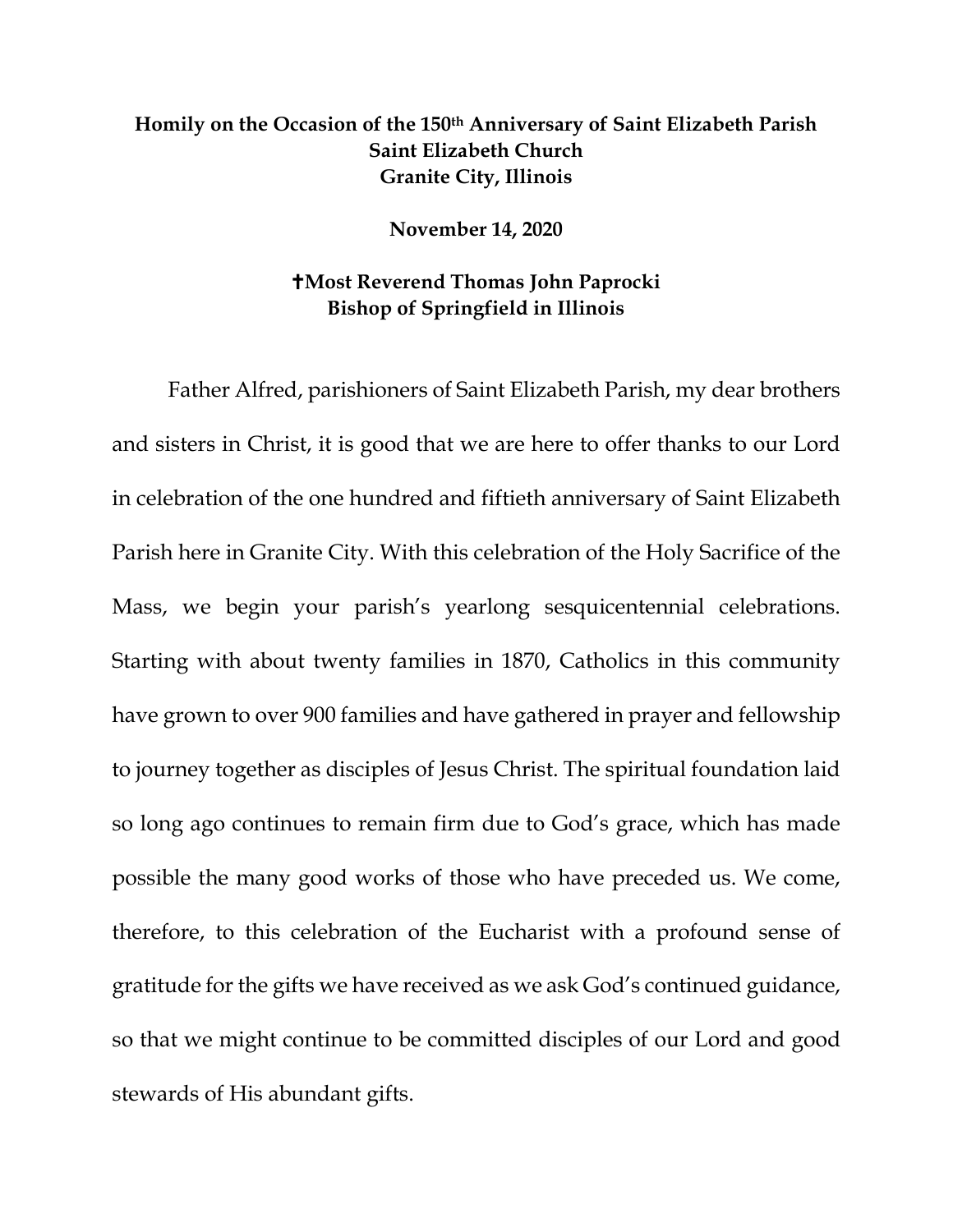## **Homily on the Occasion of the 150th Anniversary of Saint Elizabeth Parish Saint Elizabeth Church Granite City, Illinois**

**November 14, 2020**

## **Most Reverend Thomas John Paprocki Bishop of Springfield in Illinois**

Father Alfred, parishioners of Saint Elizabeth Parish, my dear brothers and sisters in Christ, it is good that we are here to offer thanks to our Lord in celebration of the one hundred and fiftieth anniversary of Saint Elizabeth Parish here in Granite City. With this celebration of the Holy Sacrifice of the Mass, we begin your parish's yearlong sesquicentennial celebrations. Starting with about twenty families in 1870, Catholics in this community have grown to over 900 families and have gathered in prayer and fellowship to journey together as disciples of Jesus Christ. The spiritual foundation laid so long ago continues to remain firm due to God's grace, which has made possible the many good works of those who have preceded us. We come, therefore, to this celebration of the Eucharist with a profound sense of gratitude for the gifts we have received as we ask God's continued guidance, so that we might continue to be committed disciples of our Lord and good stewards of His abundant gifts.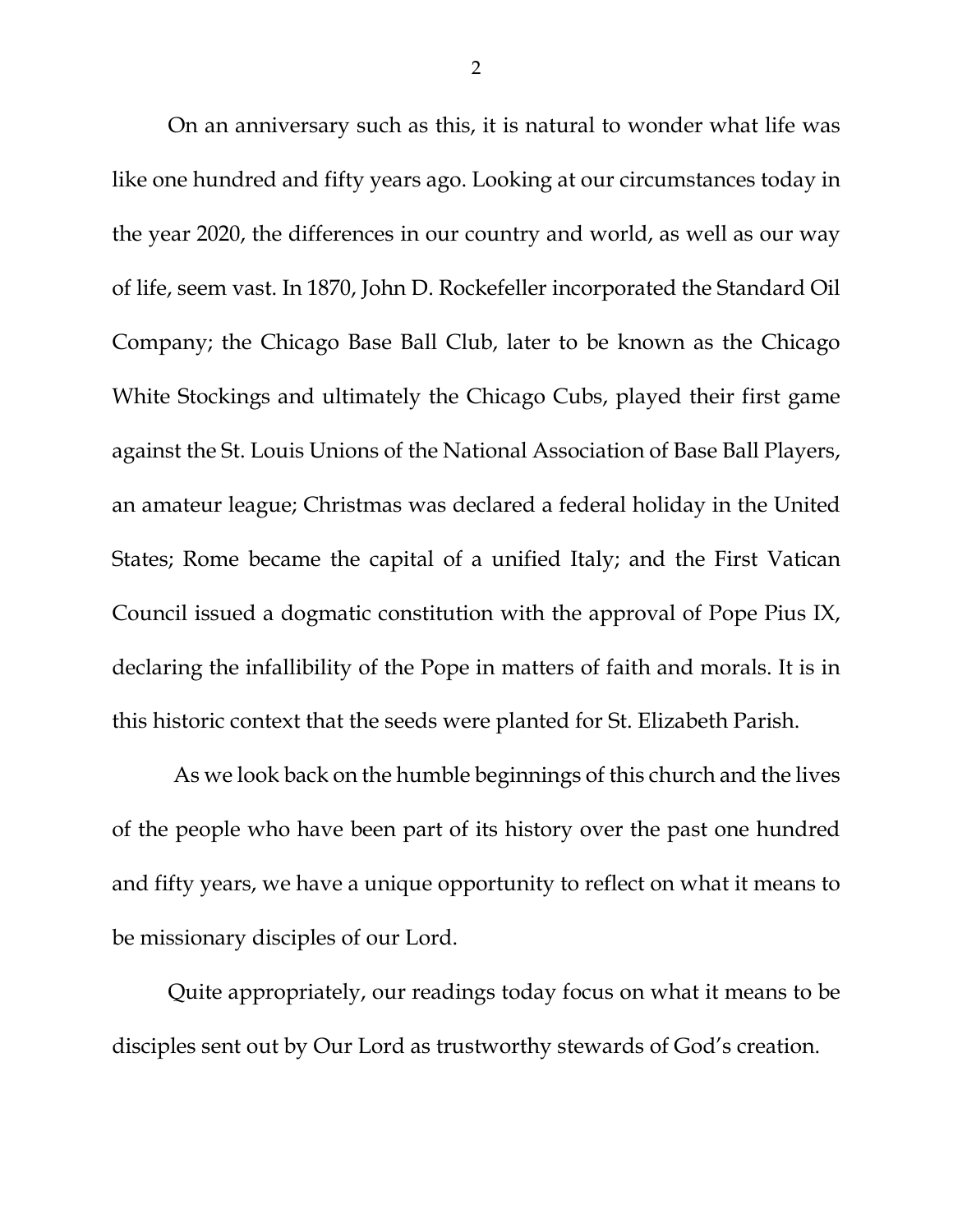On an anniversary such as this, it is natural to wonder what life was like one hundred and fifty years ago. Looking at our circumstances today in the year 2020, the differences in our country and world, as well as our way of life, seem vast. In 1870, John D. Rockefeller incorporated the Standard Oil Company; the Chicago Base Ball Club, later to be known as the Chicago White Stockings and ultimately the Chicago Cubs, played their first game against the St. Louis Unions of the National Association of Base Ball Players, an amateur league; Christmas was declared a federal holiday in the United States; Rome became the capital of a unified Italy; and the First Vatican Council issued a dogmatic constitution with the approval of Pope Pius IX, declaring the infallibility of the Pope in matters of faith and morals. It is in this historic context that the seeds were planted for St. Elizabeth Parish.

As we look back on the humble beginnings of this church and the lives of the people who have been part of its history over the past one hundred and fifty years, we have a unique opportunity to reflect on what it means to be missionary disciples of our Lord.

Quite appropriately, our readings today focus on what it means to be disciples sent out by Our Lord as trustworthy stewards of God's creation.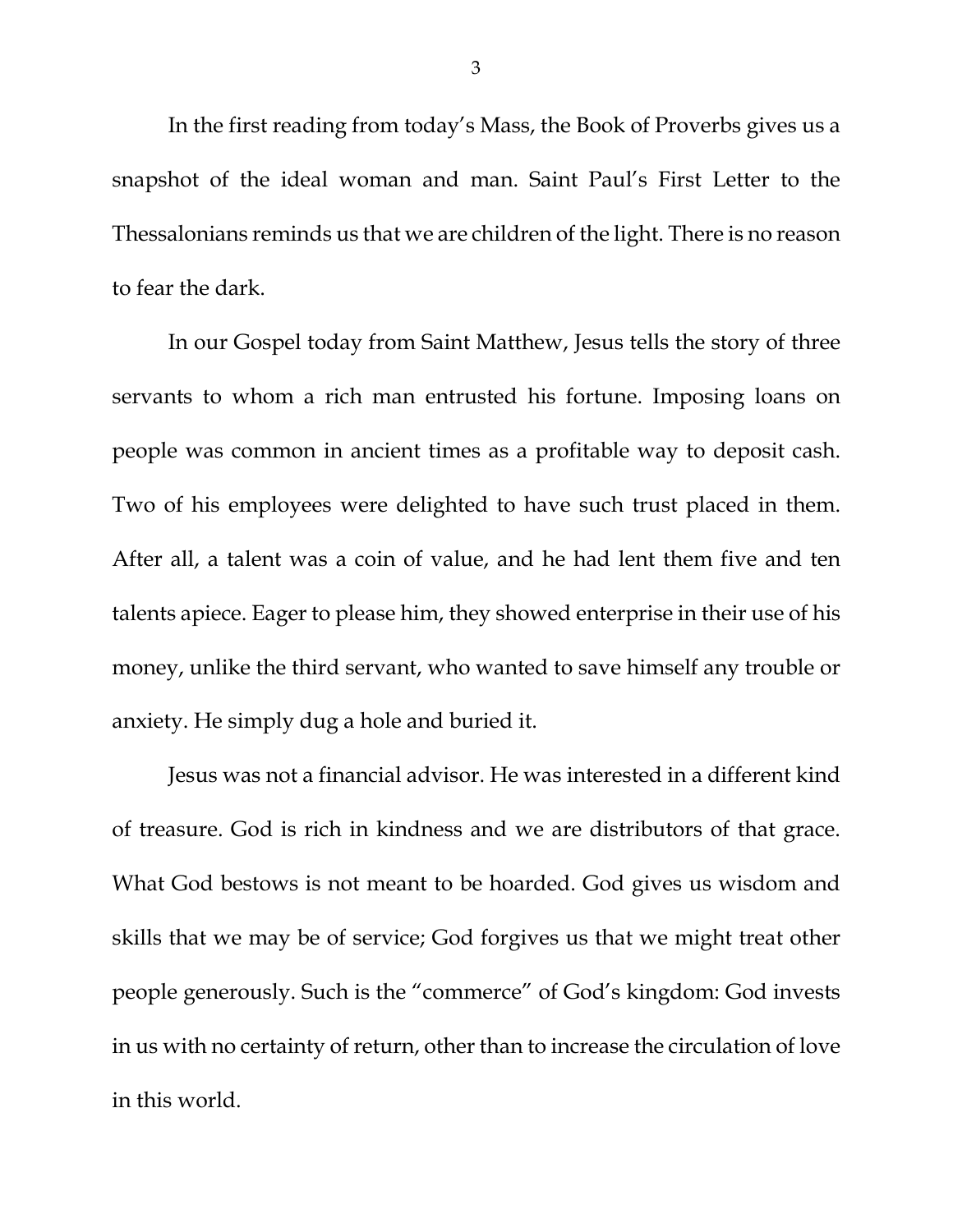In the first reading from today's Mass, the Book of Proverbs gives us a snapshot of the ideal woman and man. Saint Paul's First Letter to the Thessalonians reminds us that we are children of the light. There is no reason to fear the dark.

In our Gospel today from Saint Matthew, Jesus tells the story of three servants to whom a rich man entrusted his fortune. Imposing loans on people was common in ancient times as a profitable way to deposit cash. Two of his employees were delighted to have such trust placed in them. After all, a talent was a coin of value, and he had lent them five and ten talents apiece. Eager to please him, they showed enterprise in their use of his money, unlike the third servant, who wanted to save himself any trouble or anxiety. He simply dug a hole and buried it.

Jesus was not a financial advisor. He was interested in a different kind of treasure. God is rich in kindness and we are distributors of that grace. What God bestows is not meant to be hoarded. God gives us wisdom and skills that we may be of service; God forgives us that we might treat other people generously. Such is the "commerce" of God's kingdom: God invests in us with no certainty of return, other than to increase the circulation of love in this world.

3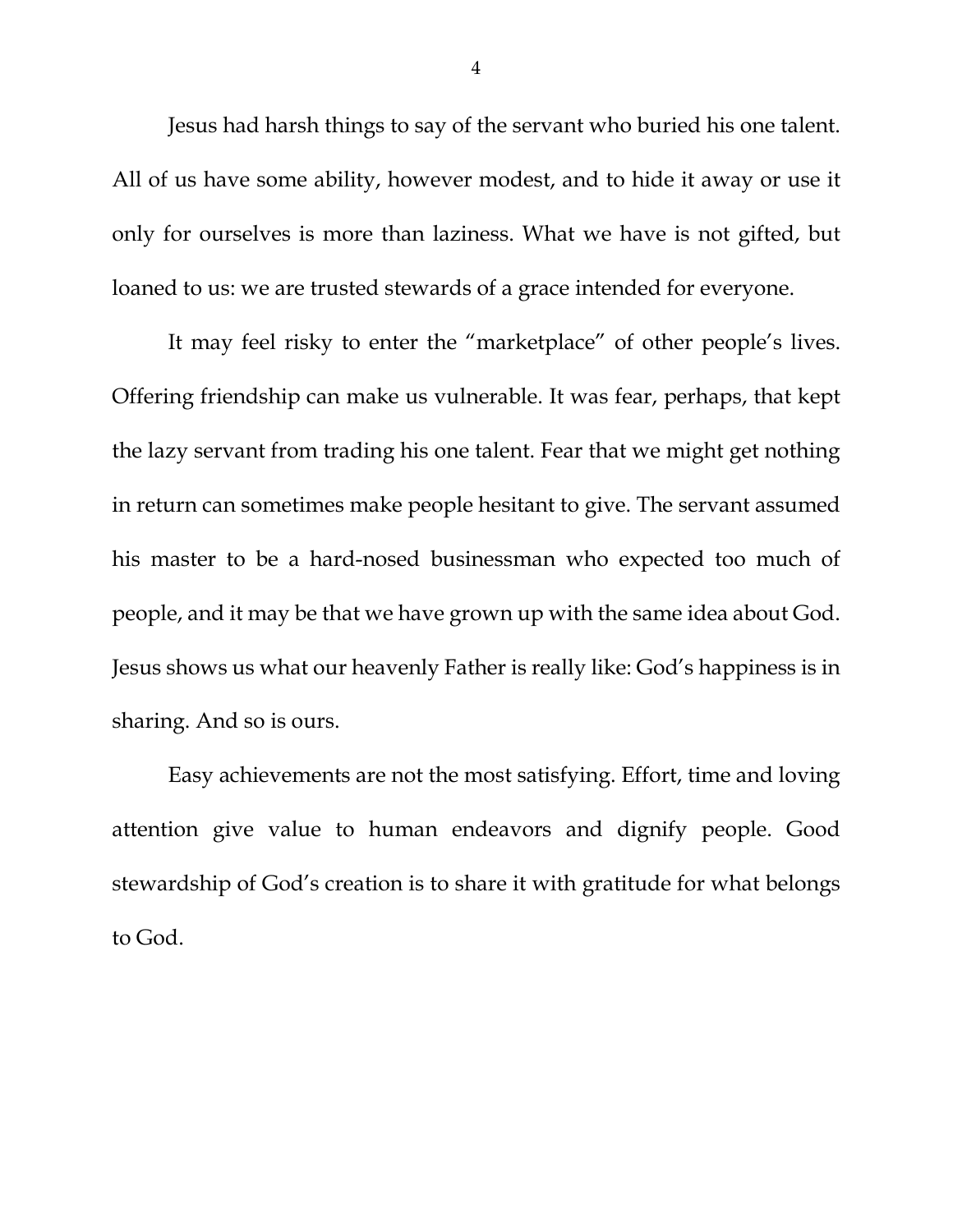Jesus had harsh things to say of the servant who buried his one talent. All of us have some ability, however modest, and to hide it away or use it only for ourselves is more than laziness. What we have is not gifted, but loaned to us: we are trusted stewards of a grace intended for everyone.

It may feel risky to enter the "marketplace" of other people's lives. Offering friendship can make us vulnerable. It was fear, perhaps, that kept the lazy servant from trading his one talent. Fear that we might get nothing in return can sometimes make people hesitant to give. The servant assumed his master to be a hard-nosed businessman who expected too much of people, and it may be that we have grown up with the same idea about God. Jesus shows us what our heavenly Father is really like: God's happiness is in sharing. And so is ours.

Easy achievements are not the most satisfying. Effort, time and loving attention give value to human endeavors and dignify people. Good stewardship of God's creation is to share it with gratitude for what belongs to God.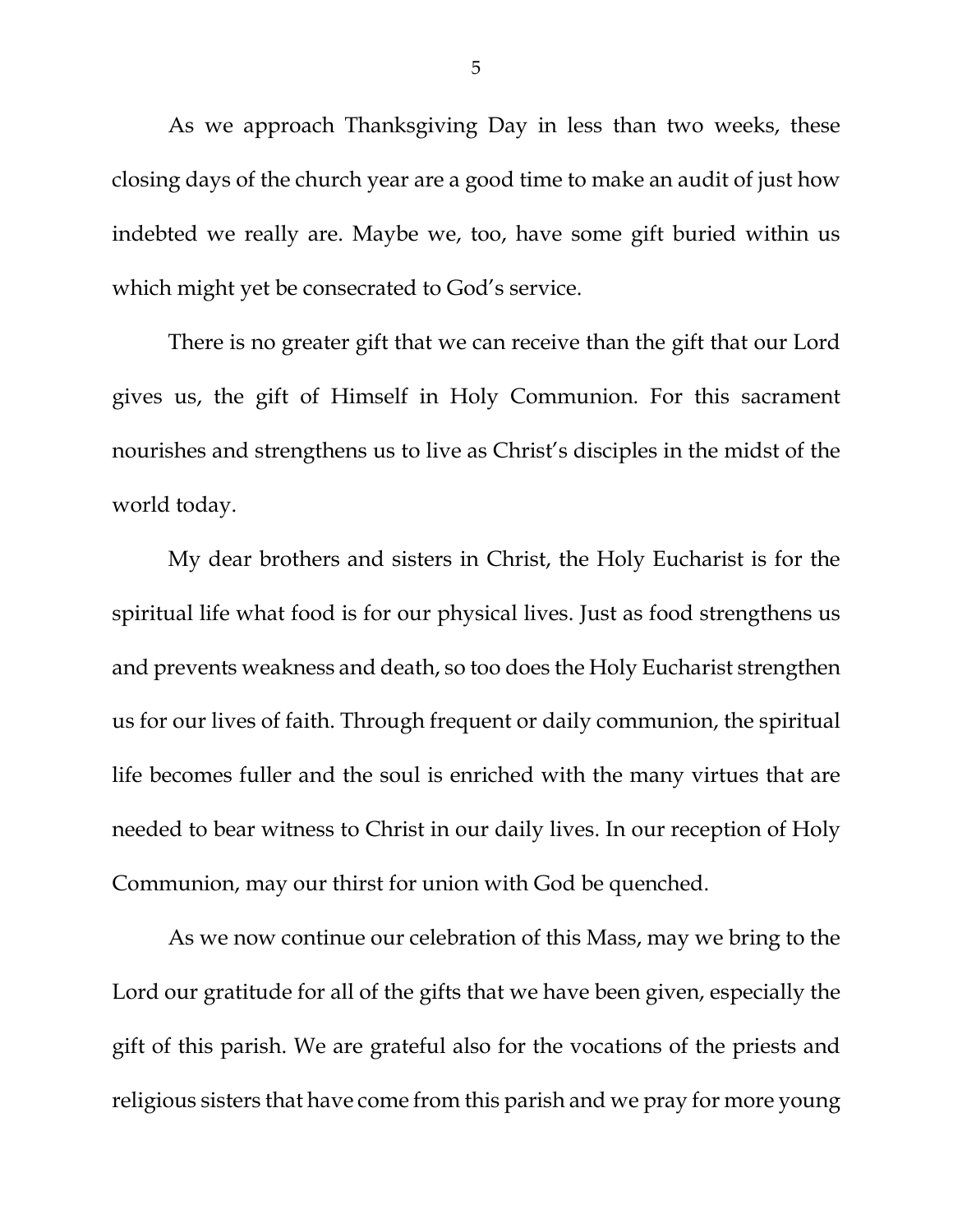As we approach Thanksgiving Day in less than two weeks, these closing days of the church year are a good time to make an audit of just how indebted we really are. Maybe we, too, have some gift buried within us which might yet be consecrated to God's service.

There is no greater gift that we can receive than the gift that our Lord gives us, the gift of Himself in Holy Communion. For this sacrament nourishes and strengthens us to live as Christ's disciples in the midst of the world today.

My dear brothers and sisters in Christ, the Holy Eucharist is for the spiritual life what food is for our physical lives. Just as food strengthens us and prevents weakness and death, so too does the Holy Eucharist strengthen us for our lives of faith. Through frequent or daily communion, the spiritual life becomes fuller and the soul is enriched with the many virtues that are needed to bear witness to Christ in our daily lives. In our reception of Holy Communion, may our thirst for union with God be quenched.

As we now continue our celebration of this Mass, may we bring to the Lord our gratitude for all of the gifts that we have been given, especially the gift of this parish. We are grateful also for the vocations of the priests and religious sisters that have come from this parish and we pray for more young